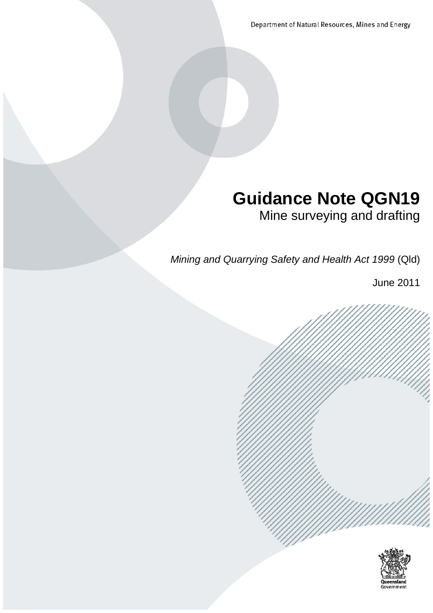Department of Natural Resources, Mines and Energy

# **Guidance Note QGN19**

Mine surveying and drafting

*Mining and Quarrying Safety and Health Act 1999* (Qld)

June 2011



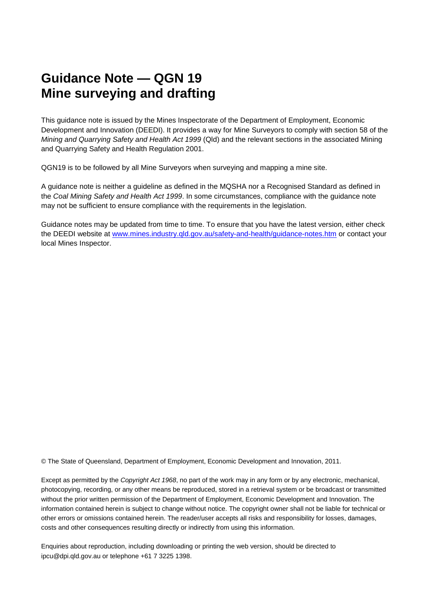## **Guidance Note — QGN 19 Mine surveying and drafting**

This guidance note is issued by the Mines Inspectorate of the Department of Employment, Economic Development and Innovation (DEEDI). It provides a way for Mine Surveyors to comply with section 58 of the *Mining and Quarrying Safety and Health Act 1999* (Qld) and the relevant sections in the associated Mining and Quarrying Safety and Health Regulation 2001.

QGN19 is to be followed by all Mine Surveyors when surveying and mapping a mine site.

A guidance note is neither a guideline as defined in the MQSHA nor a Recognised Standard as defined in the *Coal Mining Safety and Health Act 1999*. In some circumstances, compliance with the guidance note may not be sufficient to ensure compliance with the requirements in the legislation.

Guidance notes may be updated from time to time. To ensure that you have the latest version, either check the DEEDI website at [www.mines.industry.qld.gov.au/safety-and-health/guidance-notes.htm](http://www.mines.industry.qld.gov.au/safety-and-health/guidance-notes.htm) or contact your local Mines Inspector.

© The State of Queensland, Department of Employment, Economic Development and Innovation, 2011.

Except as permitted by the *Copyright Act 1968*, no part of the work may in any form or by any electronic, mechanical, photocopying, recording, or any other means be reproduced, stored in a retrieval system or be broadcast or transmitted without the prior written permission of the Department of Employment, Economic Development and Innovation. The information contained herein is subject to change without notice. The copyright owner shall not be liable for technical or other errors or omissions contained herein. The reader/user accepts all risks and responsibility for losses, damages, costs and other consequences resulting directly or indirectly from using this information.

Enquiries about reproduction, including downloading or printing the web version, should be directed to ipcu@dpi.qld.gov.au or telephone +61 7 3225 1398.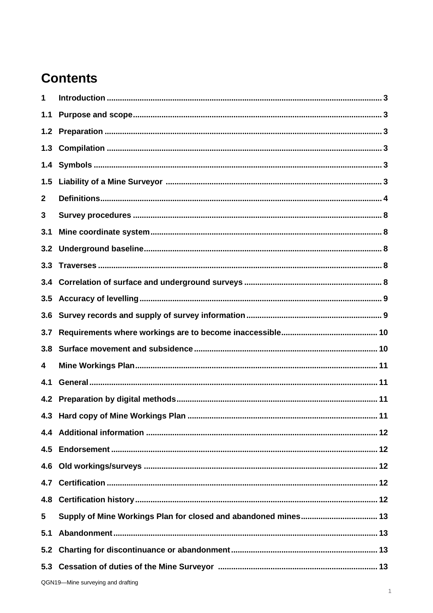## **Contents**

| 1            |                                                                |
|--------------|----------------------------------------------------------------|
| 1.1          |                                                                |
|              |                                                                |
|              |                                                                |
|              |                                                                |
| 1.5          |                                                                |
| $\mathbf{2}$ |                                                                |
| 3            |                                                                |
| 3.1          |                                                                |
| 3.2          |                                                                |
|              |                                                                |
|              |                                                                |
|              |                                                                |
| 3.6          |                                                                |
| 3.7          |                                                                |
| 3.8          |                                                                |
| 4            |                                                                |
| 4.1          |                                                                |
|              |                                                                |
|              | 4.3 Hard copy of Mine Workings Plan<br>11                      |
|              |                                                                |
|              |                                                                |
| 4.6          |                                                                |
|              |                                                                |
| 4.8          |                                                                |
| 5            | Supply of Mine Workings Plan for closed and abandoned mines 13 |
| 5.1          |                                                                |
| 5.2          |                                                                |
|              |                                                                |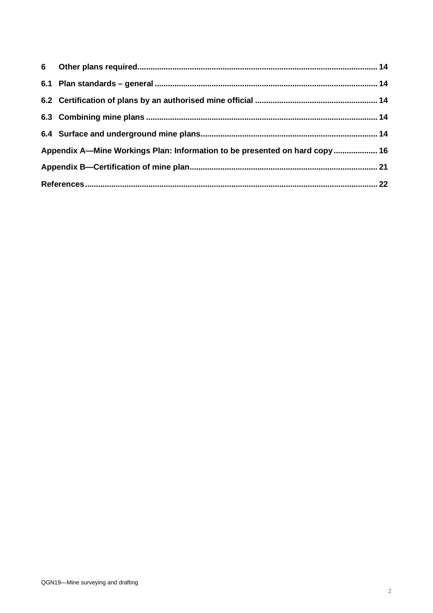| Appendix A-Mine Workings Plan: Information to be presented on hard copy 16 |  |
|----------------------------------------------------------------------------|--|
|                                                                            |  |
|                                                                            |  |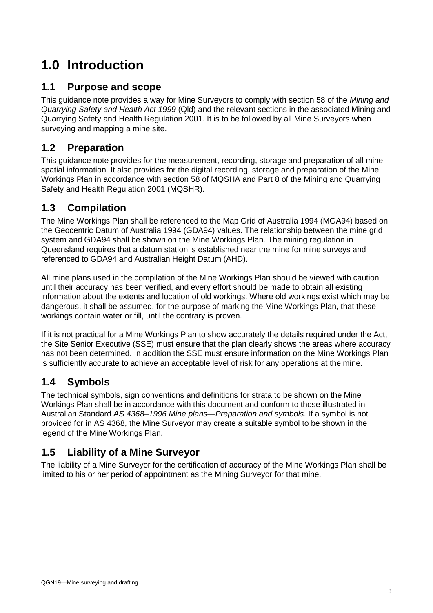## **1.0 Introduction**

## **1.1 Purpose and scope**

This guidance note provides a way for Mine Surveyors to comply with section 58 of the *Mining and Quarrying Safety and Health Act 1999* (Qld) and the relevant sections in the associated Mining and Quarrying Safety and Health Regulation 2001. It is to be followed by all Mine Surveyors when surveying and mapping a mine site.

## **1.2 Preparation**

This guidance note provides for the measurement, recording, storage and preparation of all mine spatial information. It also provides for the digital recording, storage and preparation of the Mine Workings Plan in accordance with section 58 of MQSHA and Part 8 of the Mining and Quarrying Safety and Health Regulation 2001 (MQSHR).

## **1.3 Compilation**

The Mine Workings Plan shall be referenced to the Map Grid of Australia 1994 (MGA94) based on the Geocentric Datum of Australia 1994 (GDA94) values. The relationship between the mine grid system and GDA94 shall be shown on the Mine Workings Plan. The mining regulation in Queensland requires that a datum station is established near the mine for mine surveys and referenced to GDA94 and Australian Height Datum (AHD).

All mine plans used in the compilation of the Mine Workings Plan should be viewed with caution until their accuracy has been verified, and every effort should be made to obtain all existing information about the extents and location of old workings. Where old workings exist which may be dangerous, it shall be assumed, for the purpose of marking the Mine Workings Plan, that these workings contain water or fill, until the contrary is proven.

If it is not practical for a Mine Workings Plan to show accurately the details required under the Act, the Site Senior Executive (SSE) must ensure that the plan clearly shows the areas where accuracy has not been determined. In addition the SSE must ensure information on the Mine Workings Plan is sufficiently accurate to achieve an acceptable level of risk for any operations at the mine.

## **1.4 Symbols**

The technical symbols, sign conventions and definitions for strata to be shown on the Mine Workings Plan shall be in accordance with this document and conform to those illustrated in Australian Standard *[AS 4368–1996 Mine plans—Preparation and symbols](http://www.saiglobal.com/online/Script/Details.asp?DocN=stds000014615)*. If a symbol is not provided for in AS 4368, the Mine Surveyor may create a suitable symbol to be shown in the legend of the Mine Workings Plan.

## **1.5 Liability of a Mine Surveyor**

The liability of a Mine Surveyor for the certification of accuracy of the Mine Workings Plan shall be limited to his or her period of appointment as the Mining Surveyor for that mine.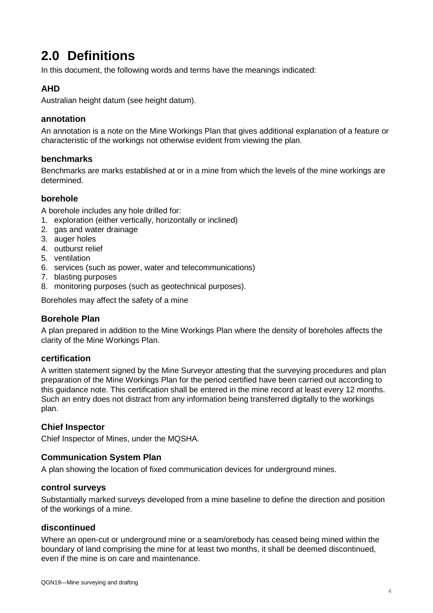## **2.0 Definitions**

In this document, the following words and terms have the meanings indicated:

## **AHD**

Australian height datum (see height datum).

### **annotation**

An annotation is a note on the Mine Workings Plan that gives additional explanation of a feature or characteristic of the workings not otherwise evident from viewing the plan.

## **benchmarks**

Benchmarks are marks established at or in a mine from which the levels of the mine workings are determined.

## **borehole**

A borehole includes any hole drilled for:

- 1. exploration (either vertically, horizontally or inclined)
- 2. gas and water drainage
- 3. auger holes
- 4. outburst relief
- 5. ventilation
- 6. services (such as power, water and telecommunications)
- 7. blasting purposes
- 8. monitoring purposes (such as geotechnical purposes).

Boreholes may affect the safety of a mine

## **Borehole Plan**

A plan prepared in addition to the Mine Workings Plan where the density of boreholes affects the clarity of the Mine Workings Plan.

#### **certification**

A written statement signed by the Mine Surveyor attesting that the surveying procedures and plan preparation of the Mine Workings Plan for the period certified have been carried out according to this guidance note. This certification shall be entered in the mine record at least every 12 months. Such an entry does not distract from any information being transferred digitally to the workings plan.

## **Chief Inspector**

Chief Inspector of Mines, under the MQSHA.

## **Communication System Plan**

A plan showing the location of fixed communication devices for underground mines.

#### **control surveys**

Substantially marked surveys developed from a mine baseline to define the direction and position of the workings of a mine.

#### **discontinued**

Where an open-cut or underground mine or a seam/orebody has ceased being mined within the boundary of land comprising the mine for at least two months, it shall be deemed discontinued, even if the mine is on care and maintenance.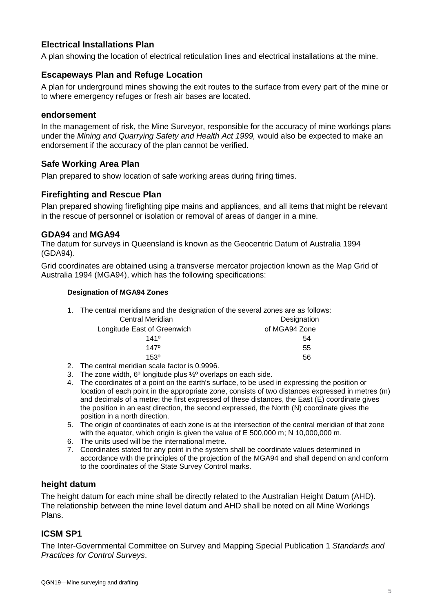## **Electrical Installations Plan**

A plan showing the location of electrical reticulation lines and electrical installations at the mine.

### **Escapeways Plan and Refuge Location**

A plan for underground mines showing the exit routes to the surface from every part of the mine or to where emergency refuges or fresh air bases are located.

#### **endorsement**

In the management of risk, the Mine Surveyor, responsible for the accuracy of mine workings plans under the *Mining and Quarrying Safety and Health Act 1999,* would also be expected to make an endorsement if the accuracy of the plan cannot be verified.

#### **Safe Working Area Plan**

Plan prepared to show location of safe working areas during firing times.

#### **Firefighting and Rescue Plan**

Plan prepared showing firefighting pipe mains and appliances, and all items that might be relevant in the rescue of personnel or isolation or removal of areas of danger in a mine.

#### **GDA94** and **MGA94**

The datum for surveys in Queensland is known as the Geocentric Datum of Australia 1994 (GDA94).

Grid coordinates are obtained using a transverse mercator projection known as the Map Grid of Australia 1994 (MGA94), which has the following specifications:

#### **Designation of MGA94 Zones**

1. The central meridians and the designation of the several zones are as follows: Central Meridian **Designation** 

|  | Longitude East of Greenwich |  |
|--|-----------------------------|--|
|--|-----------------------------|--|

of MGA94 Zone  $141^{\circ}$  54  $147^{\circ}$  55

 $153^{\circ}$  56

- 2. The central meridian scale factor is 0.9996.
- 3. The zone width, 6º longitude plus ½º overlaps on each side.
- 4. The coordinates of a point on the earth's surface, to be used in expressing the position or location of each point in the appropriate zone, consists of two distances expressed in metres (m) and decimals of a metre; the first expressed of these distances, the East (E) coordinate gives the position in an east direction, the second expressed, the North (N) coordinate gives the position in a north direction.
- 5. The origin of coordinates of each zone is at the intersection of the central meridian of that zone with the equator, which origin is given the value of E 500,000 m; N 10,000,000 m.
- 6. The units used will be the international metre.
- 7. Coordinates stated for any point in the system shall be coordinate values determined in accordance with the principles of the projection of the MGA94 and shall depend on and conform to the coordinates of the State Survey Control marks.

#### **height datum**

The height datum for each mine shall be directly related to the Australian Height Datum (AHD). The relationship between the mine level datum and AHD shall be noted on all Mine Workings Plans.

#### **ICSM SP1**

The Inter-Governmental Committee on Survey and Mapping Special Publication 1 *Standards and Practices for Control Surveys*.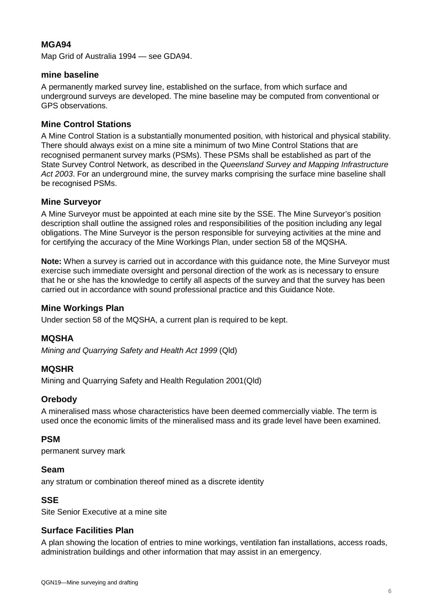## **MGA94**

Map Grid of Australia 1994 — see GDA94.

### **mine baseline**

A permanently marked survey line, established on the surface, from which surface and underground surveys are developed. The mine baseline may be computed from conventional or GPS observations.

## **Mine Control Stations**

A Mine Control Station is a substantially monumented position, with historical and physical stability. There should always exist on a mine site a minimum of two Mine Control Stations that are recognised permanent survey marks (PSMs). These PSMs shall be established as part of the State Survey Control Network, as described in the *Queensland Survey and Mapping Infrastructure Act 2003*. For an underground mine, the survey marks comprising the surface mine baseline shall be recognised PSMs.

### **Mine Surveyor**

A Mine Surveyor must be appointed at each mine site by the SSE. The Mine Surveyor's position description shall outline the assigned roles and responsibilities of the position including any legal obligations. The Mine Surveyor is the person responsible for surveying activities at the mine and for certifying the accuracy of the Mine Workings Plan, under section 58 of the MQSHA.

**Note:** When a survey is carried out in accordance with this guidance note, the Mine Surveyor must exercise such immediate oversight and personal direction of the work as is necessary to ensure that he or she has the knowledge to certify all aspects of the survey and that the survey has been carried out in accordance with sound professional practice and this Guidance Note.

#### **Mine Workings Plan**

Under section 58 of the MQSHA, a current plan is required to be kept.

#### **MQSHA**

*Mining and Quarrying Safety and Health Act 1999* (Qld)

#### **MQSHR**

Mining and Quarrying Safety and Health Regulation 2001(Qld)

#### **Orebody**

A mineralised mass whose characteristics have been deemed commercially viable. The term is used once the economic limits of the mineralised mass and its grade level have been examined.

#### **PSM**

permanent survey mark

#### **Seam**

any stratum or combination thereof mined as a discrete identity

#### **SSE**

Site Senior Executive at a mine site

## **Surface Facilities Plan**

A plan showing the location of entries to mine workings, ventilation fan installations, access roads, administration buildings and other information that may assist in an emergency.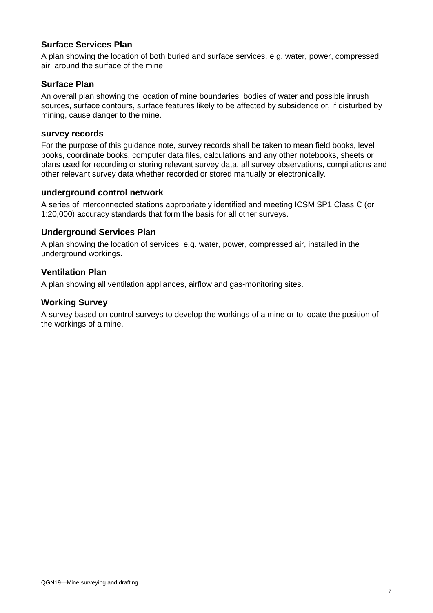## **Surface Services Plan**

A plan showing the location of both buried and surface services, e.g. water, power, compressed air, around the surface of the mine.

### **Surface Plan**

An overall plan showing the location of mine boundaries, bodies of water and possible inrush sources, surface contours, surface features likely to be affected by subsidence or, if disturbed by mining, cause danger to the mine.

#### **survey records**

For the purpose of this guidance note, survey records shall be taken to mean field books, level books, coordinate books, computer data files, calculations and any other notebooks, sheets or plans used for recording or storing relevant survey data, all survey observations, compilations and other relevant survey data whether recorded or stored manually or electronically.

#### **underground control network**

A series of interconnected stations appropriately identified and meeting ICSM SP1 Class C (or 1:20,000) accuracy standards that form the basis for all other surveys.

#### **Underground Services Plan**

A plan showing the location of services, e.g. water, power, compressed air, installed in the underground workings.

#### **Ventilation Plan**

A plan showing all ventilation appliances, airflow and gas-monitoring sites.

### **Working Survey**

A survey based on control surveys to develop the workings of a mine or to locate the position of the workings of a mine.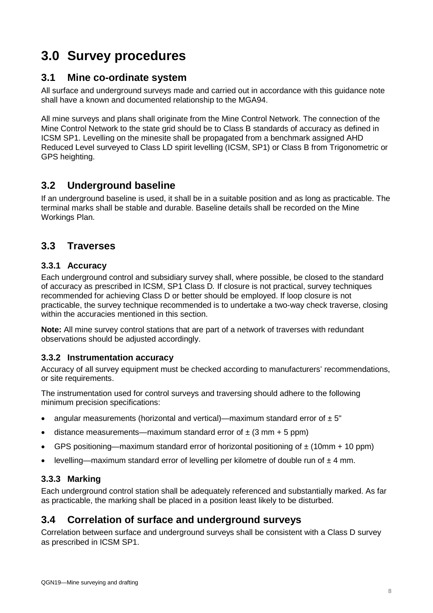## **3.0 Survey procedures**

## **3.1 Mine co-ordinate system**

All surface and underground surveys made and carried out in accordance with this guidance note shall have a known and documented relationship to the MGA94.

All mine surveys and plans shall originate from the Mine Control Network. The connection of the Mine Control Network to the state grid should be to Class B standards of accuracy as defined in ICSM SP1. Levelling on the minesite shall be propagated from a benchmark assigned AHD Reduced Level surveyed to Class LD spirit levelling (ICSM, SP1) or Class B from Trigonometric or GPS heighting.

## **3.2 Underground baseline**

If an underground baseline is used, it shall be in a suitable position and as long as practicable. The terminal marks shall be stable and durable. Baseline details shall be recorded on the Mine Workings Plan.

## **3.3 Traverses**

## **3.3.1 Accuracy**

Each underground control and subsidiary survey shall, where possible, be closed to the standard of accuracy as prescribed in ICSM, SP1 Class D*.* If closure is not practical, survey techniques recommended for achieving Class D or better should be employed. If loop closure is not practicable, the survey technique recommended is to undertake a two-way check traverse, closing within the accuracies mentioned in this section.

**Note:** All mine survey control stations that are part of a network of traverses with redundant observations should be adjusted accordingly.

## **3.3.2 Instrumentation accuracy**

Accuracy of all survey equipment must be checked according to manufacturers' recommendations, or site requirements.

The instrumentation used for control surveys and traversing should adhere to the following minimum precision specifications:

- angular measurements (horizontal and vertical)—maximum standard error of  $\pm 5$ "
- distance measurements—maximum standard error of  $\pm$  (3 mm + 5 ppm)
- GPS positioning—maximum standard error of horizontal positioning of  $\pm$  (10mm + 10 ppm)
- levelling—maximum standard error of levelling per kilometre of double run of  $\pm 4$  mm.

## **3.3.3 Marking**

Each underground control station shall be adequately referenced and substantially marked. As far as practicable, the marking shall be placed in a position least likely to be disturbed.

## **3.4 Correlation of surface and underground surveys**

Correlation between surface and underground surveys shall be consistent with a Class D survey as prescribed in ICSM SP1.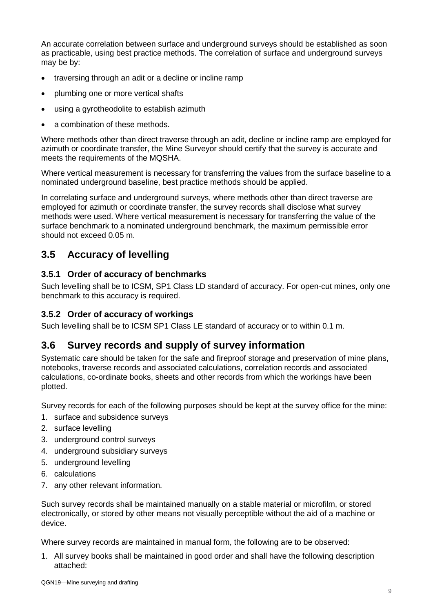An accurate correlation between surface and underground surveys should be established as soon as practicable, using best practice methods. The correlation of surface and underground surveys may be by:

- traversing through an adit or a decline or incline ramp
- plumbing one or more vertical shafts
- using a gyrotheodolite to establish azimuth
- a combination of these methods.

Where methods other than direct traverse through an adit, decline or incline ramp are employed for azimuth or coordinate transfer, the Mine Surveyor should certify that the survey is accurate and meets the requirements of the MQSHA.

Where vertical measurement is necessary for transferring the values from the surface baseline to a nominated underground baseline, best practice methods should be applied.

In correlating surface and underground surveys, where methods other than direct traverse are employed for azimuth or coordinate transfer, the survey records shall disclose what survey methods were used. Where vertical measurement is necessary for transferring the value of the surface benchmark to a nominated underground benchmark, the maximum permissible error should not exceed 0.05 m.

## **3.5 Accuracy of levelling**

## **3.5.1 Order of accuracy of benchmarks**

Such levelling shall be to ICSM, SP1 Class LD standard of accuracy. For open-cut mines, only one benchmark to this accuracy is required.

## **3.5.2 Order of accuracy of workings**

Such levelling shall be to ICSM SP1 Class LE standard of accuracy or to within 0.1 m.

## **3.6 Survey records and supply of survey information**

Systematic care should be taken for the safe and fireproof storage and preservation of mine plans, notebooks, traverse records and associated calculations, correlation records and associated calculations, co-ordinate books, sheets and other records from which the workings have been plotted.

Survey records for each of the following purposes should be kept at the survey office for the mine:

- 1. surface and subsidence surveys
- 2. surface levelling
- 3. underground control surveys
- 4. underground subsidiary surveys
- 5. underground levelling
- 6. calculations
- 7. any other relevant information.

Such survey records shall be maintained manually on a stable material or microfilm, or stored electronically, or stored by other means not visually perceptible without the aid of a machine or device.

Where survey records are maintained in manual form, the following are to be observed:

1. All survey books shall be maintained in good order and shall have the following description attached: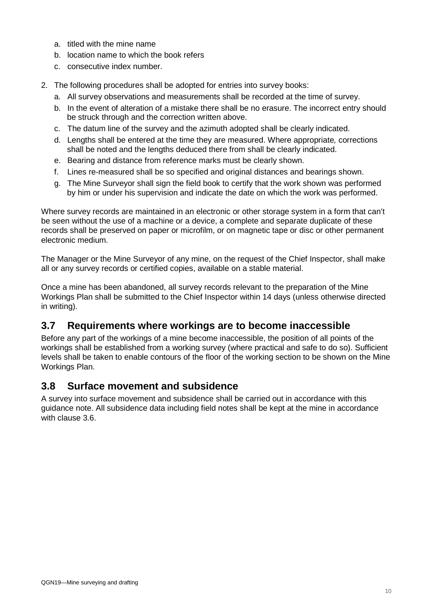- a. titled with the mine name
- b. location name to which the book refers
- c. consecutive index number.
- 2. The following procedures shall be adopted for entries into survey books:
	- a. All survey observations and measurements shall be recorded at the time of survey.
	- b. In the event of alteration of a mistake there shall be no erasure. The incorrect entry should be struck through and the correction written above.
	- c. The datum line of the survey and the azimuth adopted shall be clearly indicated.
	- d. Lengths shall be entered at the time they are measured. Where appropriate*,* corrections shall be noted and the lengths deduced there from shall be clearly indicated.
	- e. Bearing and distance from reference marks must be clearly shown.
	- f. Lines re-measured shall be so specified and original distances and bearings shown.
	- g. The Mine Surveyor shall sign the field book to certify that the work shown was performed by him or under his supervision and indicate the date on which the work was performed.

Where survey records are maintained in an electronic or other storage system in a form that can't be seen without the use of a machine or a device, a complete and separate duplicate of these records shall be preserved on paper or microfilm, or on magnetic tape or disc or other permanent electronic medium.

The Manager or the Mine Surveyor of any mine, on the request of the Chief Inspector, shall make all or any survey records or certified copies, available on a stable material.

Once a mine has been abandoned, all survey records relevant to the preparation of the Mine Workings Plan shall be submitted to the Chief Inspector within 14 days (unless otherwise directed in writing).

## **3.7 Requirements where workings are to become inaccessible**

Before any part of the workings of a mine become inaccessible, the position of all points of the workings shall be established from a working survey (where practical and safe to do so). Sufficient levels shall be taken to enable contours of the floor of the working section to be shown on the Mine Workings Plan.

## **3.8 Surface movement and subsidence**

A survey into surface movement and subsidence shall be carried out in accordance with this guidance note. All subsidence data including field notes shall be kept at the mine in accordance with clause 3.6.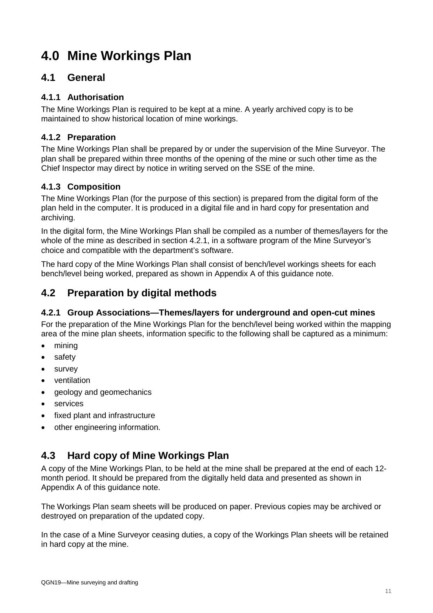## **4.0 Mine Workings Plan**

## **4.1 General**

## **4.1.1 Authorisation**

The Mine Workings Plan is required to be kept at a mine. A yearly archived copy is to be maintained to show historical location of mine workings.

## **4.1.2 Preparation**

The Mine Workings Plan shall be prepared by or under the supervision of the Mine Surveyor. The plan shall be prepared within three months of the opening of the mine or such other time as the Chief Inspector may direct by notice in writing served on the SSE of the mine.

## **4.1.3 Composition**

The Mine Workings Plan (for the purpose of this section) is prepared from the digital form of the plan held in the computer. It is produced in a digital file and in hard copy for presentation and archiving.

In the digital form, the Mine Workings Plan shall be compiled as a number of themes/layers for the whole of the mine as described in section 4.2.1, in a software program of the Mine Surveyor's choice and compatible with the department's software.

The hard copy of the Mine Workings Plan shall consist of bench/level workings sheets for each bench/level being worked, prepared as shown in Appendix A of this guidance note.

## **4.2 Preparation by digital methods**

## **4.2.1 Group Associations—Themes/layers for underground and open-cut mines**

For the preparation of the Mine Workings Plan for the bench/level being worked within the mapping area of the mine plan sheets, information specific to the following shall be captured as a minimum:

- mining
- safety
- survey
- ventilation
- geology and geomechanics
- services
- fixed plant and infrastructure
- other engineering information.

## **4.3 Hard copy of Mine Workings Plan**

A copy of the Mine Workings Plan, to be held at the mine shall be prepared at the end of each 12 month period. It should be prepared from the digitally held data and presented as shown in Appendix A of this guidance note.

The Workings Plan seam sheets will be produced on paper. Previous copies may be archived or destroyed on preparation of the updated copy.

In the case of a Mine Surveyor ceasing duties, a copy of the Workings Plan sheets will be retained in hard copy at the mine.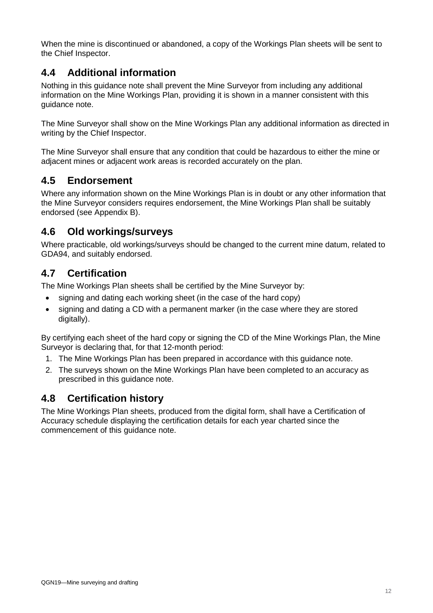When the mine is discontinued or abandoned, a copy of the Workings Plan sheets will be sent to the Chief Inspector.

## **4.4 Additional information**

Nothing in this guidance note shall prevent the Mine Surveyor from including any additional information on the Mine Workings Plan, providing it is shown in a manner consistent with this guidance note.

The Mine Surveyor shall show on the Mine Workings Plan any additional information as directed in writing by the Chief Inspector.

The Mine Surveyor shall ensure that any condition that could be hazardous to either the mine or adjacent mines or adjacent work areas is recorded accurately on the plan.

## **4.5 Endorsement**

Where any information shown on the Mine Workings Plan is in doubt or any other information that the Mine Surveyor considers requires endorsement, the Mine Workings Plan shall be suitably endorsed (see Appendix B).

## **4.6 Old workings/surveys**

Where practicable, old workings/surveys should be changed to the current mine datum, related to GDA94, and suitably endorsed.

## **4.7 Certification**

The Mine Workings Plan sheets shall be certified by the Mine Surveyor by:

- signing and dating each working sheet (in the case of the hard copy)
- signing and dating a CD with a permanent marker (in the case where they are stored digitally).

By certifying each sheet of the hard copy or signing the CD of the Mine Workings Plan, the Mine Surveyor is declaring that, for that 12-month period:

- 1. The Mine Workings Plan has been prepared in accordance with this guidance note.
- 2. The surveys shown on the Mine Workings Plan have been completed to an accuracy as prescribed in this guidance note.

## **4.8 Certification history**

The Mine Workings Plan sheets, produced from the digital form, shall have a Certification of Accuracy schedule displaying the certification details for each year charted since the commencement of this guidance note.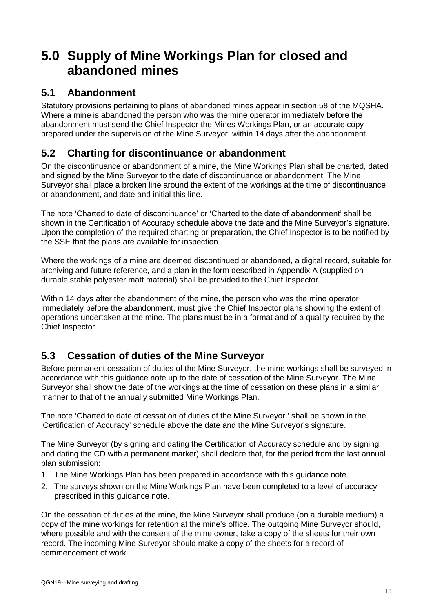## **5.0 Supply of Mine Workings Plan for closed and abandoned mines**

## **5.1 Abandonment**

Statutory provisions pertaining to plans of abandoned mines appear in section 58 of the MQSHA. Where a mine is abandoned the person who was the mine operator immediately before the abandonment must send the Chief Inspector the Mines Workings Plan, or an accurate copy prepared under the supervision of the Mine Surveyor, within 14 days after the abandonment.

## **5.2 Charting for discontinuance or abandonment**

On the discontinuance or abandonment of a mine, the Mine Workings Plan shall be charted, dated and signed by the Mine Surveyor to the date of discontinuance or abandonment. The Mine Surveyor shall place a broken line around the extent of the workings at the time of discontinuance or abandonment, and date and initial this line.

The note 'Charted to date of discontinuance' or 'Charted to the date of abandonment' shall be shown in the Certification of Accuracy schedule above the date and the Mine Surveyor's signature. Upon the completion of the required charting or preparation, the Chief Inspector is to be notified by the SSE that the plans are available for inspection.

Where the workings of a mine are deemed discontinued or abandoned, a digital record, suitable for archiving and future reference, and a plan in the form described in Appendix A (supplied on durable stable polyester matt material) shall be provided to the Chief Inspector.

Within 14 days after the abandonment of the mine, the person who was the mine operator immediately before the abandonment, must give the Chief Inspector plans showing the extent of operations undertaken at the mine. The plans must be in a format and of a quality required by the Chief Inspector.

## **5.3 Cessation of duties of the Mine Surveyor**

Before permanent cessation of duties of the Mine Surveyor, the mine workings shall be surveyed in accordance with this guidance note up to the date of cessation of the Mine Surveyor. The Mine Surveyor shall show the date of the workings at the time of cessation on these plans in a similar manner to that of the annually submitted Mine Workings Plan.

The note 'Charted to date of cessation of duties of the Mine Surveyor ' shall be shown in the 'Certification of Accuracy' schedule above the date and the Mine Surveyor's signature.

The Mine Surveyor (by signing and dating the Certification of Accuracy schedule and by signing and dating the CD with a permanent marker) shall declare that, for the period from the last annual plan submission:

- 1. The Mine Workings Plan has been prepared in accordance with this guidance note.
- 2. The surveys shown on the Mine Workings Plan have been completed to a level of accuracy prescribed in this guidance note.

On the cessation of duties at the mine, the Mine Surveyor shall produce (on a durable medium) a copy of the mine workings for retention at the mine's office. The outgoing Mine Surveyor should, where possible and with the consent of the mine owner, take a copy of the sheets for their own record. The incoming Mine Surveyor should make a copy of the sheets for a record of commencement of work.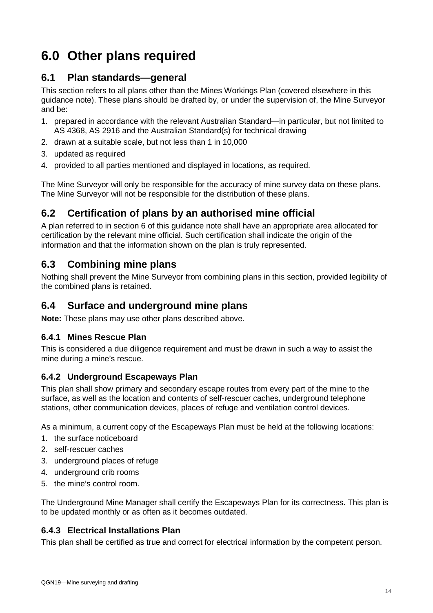## **6.0 Other plans required**

## **6.1 Plan standards—general**

This section refers to all plans other than the Mines Workings Plan (covered elsewhere in this guidance note). These plans should be drafted by, or under the supervision of, the Mine Surveyor and be:

- 1. prepared in accordance with the relevant Australian Standard—in particular, but not limited to AS 4368, AS 2916 and the Australian Standard(s) for technical drawing
- 2. drawn at a suitable scale, but not less than 1 in 10,000
- 3. updated as required
- 4. provided to all parties mentioned and displayed in locations, as required.

The Mine Surveyor will only be responsible for the accuracy of mine survey data on these plans. The Mine Surveyor will not be responsible for the distribution of these plans.

## **6.2 Certification of plans by an authorised mine official**

A plan referred to in section 6 of this guidance note shall have an appropriate area allocated for certification by the relevant mine official. Such certification shall indicate the origin of the information and that the information shown on the plan is truly represented.

## **6.3 Combining mine plans**

Nothing shall prevent the Mine Surveyor from combining plans in this section, provided legibility of the combined plans is retained.

## **6.4 Surface and underground mine plans**

**Note:** These plans may use other plans described above.

## **6.4.1 Mines Rescue Plan**

This is considered a due diligence requirement and must be drawn in such a way to assist the mine during a mine's rescue.

## **6.4.2 Underground Escapeways Plan**

This plan shall show primary and secondary escape routes from every part of the mine to the surface, as well as the location and contents of self-rescuer caches, underground telephone stations, other communication devices, places of refuge and ventilation control devices.

As a minimum, a current copy of the Escapeways Plan must be held at the following locations:

- 1. the surface noticeboard
- 2. self-rescuer caches
- 3. underground places of refuge
- 4. underground crib rooms
- 5. the mine's control room.

The Underground Mine Manager shall certify the Escapeways Plan for its correctness. This plan is to be updated monthly or as often as it becomes outdated.

## **6.4.3 Electrical Installations Plan**

This plan shall be certified as true and correct for electrical information by the competent person.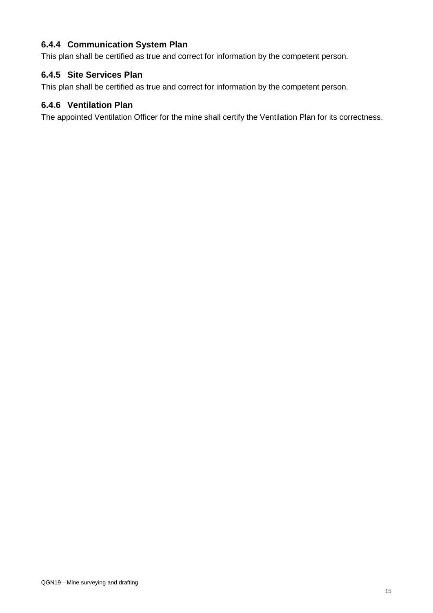## **6.4.4 Communication System Plan**

This plan shall be certified as true and correct for information by the competent person.

## **6.4.5 Site Services Plan**

This plan shall be certified as true and correct for information by the competent person.

### **6.4.6 Ventilation Plan**

The appointed Ventilation Officer for the mine shall certify the Ventilation Plan for its correctness.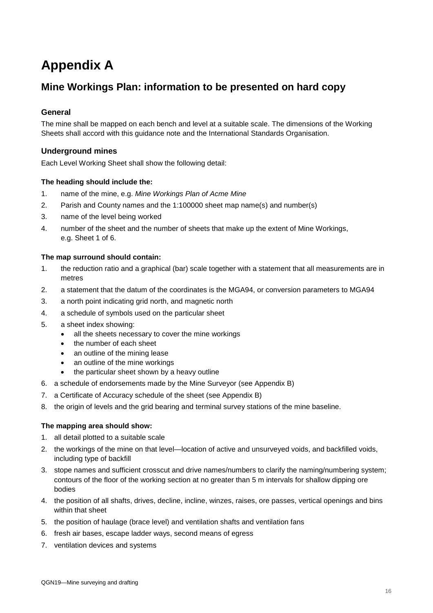## **Appendix A**

## **Mine Workings Plan: information to be presented on hard copy**

#### **General**

The mine shall be mapped on each bench and level at a suitable scale. The dimensions of the Working Sheets shall accord with this guidance note and the International Standards Organisation.

#### **Underground mines**

Each Level Working Sheet shall show the following detail:

#### **The heading should include the:**

- 1. name of the mine, e.g. *Mine Workings Plan of Acme Mine*
- 2. Parish and County names and the 1:100000 sheet map name(s) and number(s)
- 3. name of the level being worked
- 4. number of the sheet and the number of sheets that make up the extent of Mine Workings, e.g. Sheet 1 of 6.

#### **The map surround should contain:**

- 1. the reduction ratio and a graphical (bar) scale together with a statement that all measurements are in metres
- 2. a statement that the datum of the coordinates is the MGA94, or conversion parameters to MGA94
- 3. a north point indicating grid north, and magnetic north
- 4. a schedule of symbols used on the particular sheet
- 5. a sheet index showing:
	- all the sheets necessary to cover the mine workings
	- the number of each sheet
	- an outline of the mining lease
	- an outline of the mine workings
	- the particular sheet shown by a heavy outline
- 6. a schedule of endorsements made by the Mine Surveyor (see Appendix B)
- 7. a Certificate of Accuracy schedule of the sheet (see Appendix B)
- 8. the origin of levels and the grid bearing and terminal survey stations of the mine baseline.

#### **The mapping area should show:**

- 1. all detail plotted to a suitable scale
- 2. the workings of the mine on that level—location of active and unsurveyed voids, and backfilled voids, including type of backfill
- 3. stope names and sufficient crosscut and drive names/numbers to clarify the naming/numbering system; contours of the floor of the working section at no greater than 5 m intervals for shallow dipping ore bodies
- 4. the position of all shafts, drives, decline, incline, winzes, raises, ore passes, vertical openings and bins within that sheet
- 5. the position of haulage (brace level) and ventilation shafts and ventilation fans
- 6. fresh air bases, escape ladder ways, second means of egress
- 7. ventilation devices and systems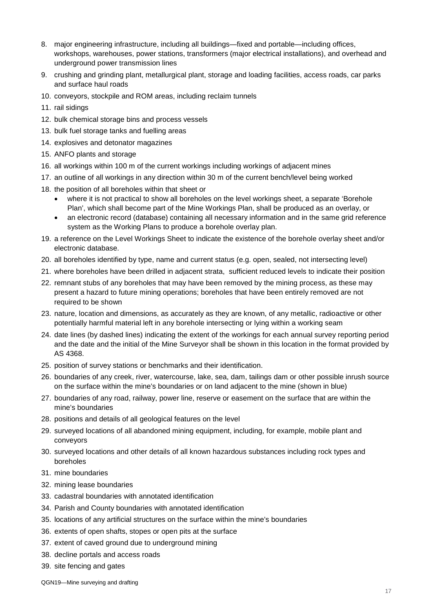- 8. major engineering infrastructure, including all buildings—fixed and portable—including offices, workshops, warehouses, power stations, transformers (major electrical installations), and overhead and underground power transmission lines
- 9. crushing and grinding plant, metallurgical plant, storage and loading facilities, access roads, car parks and surface haul roads
- 10. conveyors, stockpile and ROM areas, including reclaim tunnels
- 11. rail sidings
- 12. bulk chemical storage bins and process vessels
- 13. bulk fuel storage tanks and fuelling areas
- 14. explosives and detonator magazines
- 15. ANFO plants and storage
- 16. all workings within 100 m of the current workings including workings of adjacent mines
- 17. an outline of all workings in any direction within 30 m of the current bench/level being worked
- 18. the position of all boreholes within that sheet or
	- where it is not practical to show all boreholes on the level workings sheet, a separate 'Borehole Plan', which shall become part of the Mine Workings Plan, shall be produced as an overlay, or
	- an electronic record (database) containing all necessary information and in the same grid reference system as the Working Plans to produce a borehole overlay plan.
- 19. a reference on the Level Workings Sheet to indicate the existence of the borehole overlay sheet and/or electronic database.
- 20. all boreholes identified by type, name and current status (e.g. open, sealed, not intersecting level)
- 21. where boreholes have been drilled in adjacent strata, sufficient reduced levels to indicate their position
- 22. remnant stubs of any boreholes that may have been removed by the mining process, as these may present a hazard to future mining operations; boreholes that have been entirely removed are not required to be shown
- 23. nature, location and dimensions, as accurately as they are known, of any metallic, radioactive or other potentially harmful material left in any borehole intersecting or lying within a working seam
- 24. date lines (by dashed lines) indicating the extent of the workings for each annual survey reporting period and the date and the initial of the Mine Surveyor shall be shown in this location in the format provided by AS 4368.
- 25. position of survey stations or benchmarks and their identification.
- 26. boundaries of any creek, river, watercourse, lake, sea, dam, tailings dam or other possible inrush source on the surface within the mine's boundaries or on land adjacent to the mine (shown in blue)
- 27. boundaries of any road, railway, power line, reserve or easement on the surface that are within the mine's boundaries
- 28. positions and details of all geological features on the level
- 29. surveyed locations of all abandoned mining equipment, including, for example, mobile plant and conveyors
- 30. surveyed locations and other details of all known hazardous substances including rock types and boreholes
- 31. mine boundaries
- 32. mining lease boundaries
- 33. cadastral boundaries with annotated identification
- 34. Parish and County boundaries with annotated identification
- 35. locations of any artificial structures on the surface within the mine's boundaries
- 36. extents of open shafts, stopes or open pits at the surface
- 37. extent of caved ground due to underground mining
- 38. decline portals and access roads
- 39. site fencing and gates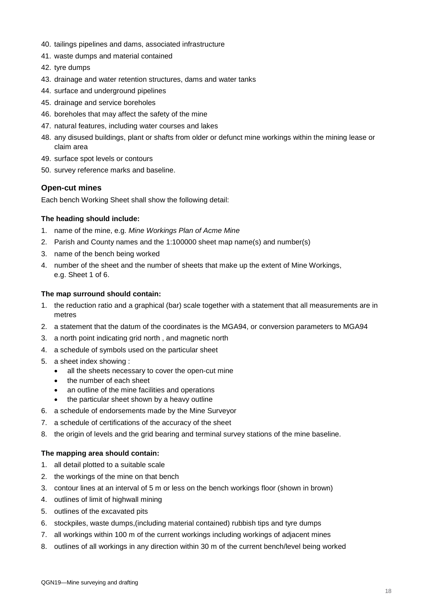- 40. tailings pipelines and dams, associated infrastructure
- 41. waste dumps and material contained
- 42. tyre dumps
- 43. drainage and water retention structures, dams and water tanks
- 44. surface and underground pipelines
- 45. drainage and service boreholes
- 46. boreholes that may affect the safety of the mine
- 47. natural features, including water courses and lakes
- 48. any disused buildings, plant or shafts from older or defunct mine workings within the mining lease or claim area
- 49. surface spot levels or contours
- 50. survey reference marks and baseline.

#### **Open-cut mines**

Each bench Working Sheet shall show the following detail:

#### **The heading should include:**

- 1. name of the mine, e.g. *Mine Workings Plan of Acme Mine*
- 2. Parish and County names and the 1:100000 sheet map name(s) and number(s)
- 3. name of the bench being worked
- 4. number of the sheet and the number of sheets that make up the extent of Mine Workings, e.g. Sheet 1 of 6.

#### **The map surround should contain:**

- 1. the reduction ratio and a graphical (bar) scale together with a statement that all measurements are in metres
- 2. a statement that the datum of the coordinates is the MGA94, or conversion parameters to MGA94
- 3. a north point indicating grid north , and magnetic north
- 4. a schedule of symbols used on the particular sheet
- 5. a sheet index showing :
	- all the sheets necessary to cover the open-cut mine
	- the number of each sheet
	- an outline of the mine facilities and operations
	- the particular sheet shown by a heavy outline
- 6. a schedule of endorsements made by the Mine Surveyor
- 7. a schedule of certifications of the accuracy of the sheet
- 8. the origin of levels and the grid bearing and terminal survey stations of the mine baseline.

#### **The mapping area should contain:**

- 1. all detail plotted to a suitable scale
- 2. the workings of the mine on that bench
- 3. contour lines at an interval of 5 m or less on the bench workings floor (shown in brown)
- 4. outlines of limit of highwall mining
- 5. outlines of the excavated pits
- 6. stockpiles, waste dumps,(including material contained) rubbish tips and tyre dumps
- 7. all workings within 100 m of the current workings including workings of adjacent mines
- 8. outlines of all workings in any direction within 30 m of the current bench/level being worked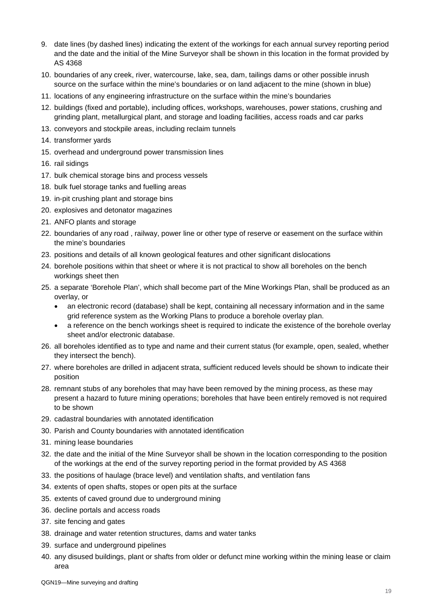- 9. date lines (by dashed lines) indicating the extent of the workings for each annual survey reporting period and the date and the initial of the Mine Surveyor shall be shown in this location in the format provided by AS 4368
- 10. boundaries of any creek, river, watercourse, lake, sea, dam, tailings dams or other possible inrush source on the surface within the mine's boundaries or on land adjacent to the mine (shown in blue)
- 11. locations of any engineering infrastructure on the surface within the mine's boundaries
- 12. buildings (fixed and portable), including offices, workshops, warehouses, power stations, crushing and grinding plant, metallurgical plant, and storage and loading facilities, access roads and car parks
- 13. conveyors and stockpile areas, including reclaim tunnels
- 14. transformer yards
- 15. overhead and underground power transmission lines
- 16. rail sidings
- 17. bulk chemical storage bins and process vessels
- 18. bulk fuel storage tanks and fuelling areas
- 19. in-pit crushing plant and storage bins
- 20. explosives and detonator magazines
- 21. ANFO plants and storage
- 22. boundaries of any road , railway, power line or other type of reserve or easement on the surface within the mine's boundaries
- 23. positions and details of all known geological features and other significant dislocations
- 24. borehole positions within that sheet or where it is not practical to show all boreholes on the bench workings sheet then
- 25. a separate 'Borehole Plan', which shall become part of the Mine Workings Plan, shall be produced as an overlay, or
	- an electronic record (database) shall be kept, containing all necessary information and in the same grid reference system as the Working Plans to produce a borehole overlay plan.
	- a reference on the bench workings sheet is required to indicate the existence of the borehole overlay sheet and/or electronic database.
- 26. all boreholes identified as to type and name and their current status (for example, open, sealed, whether they intersect the bench).
- 27. where boreholes are drilled in adjacent strata, sufficient reduced levels should be shown to indicate their position
- 28. remnant stubs of any boreholes that may have been removed by the mining process, as these may present a hazard to future mining operations; boreholes that have been entirely removed is not required to be shown
- 29. cadastral boundaries with annotated identification
- 30. Parish and County boundaries with annotated identification
- 31. mining lease boundaries
- 32. the date and the initial of the Mine Surveyor shall be shown in the location corresponding to the position of the workings at the end of the survey reporting period in the format provided by AS 4368
- 33. the positions of haulage (brace level) and ventilation shafts, and ventilation fans
- 34. extents of open shafts, stopes or open pits at the surface
- 35. extents of caved ground due to underground mining
- 36. decline portals and access roads
- 37. site fencing and gates
- 38. drainage and water retention structures, dams and water tanks
- 39. surface and underground pipelines
- 40. any disused buildings, plant or shafts from older or defunct mine working within the mining lease or claim area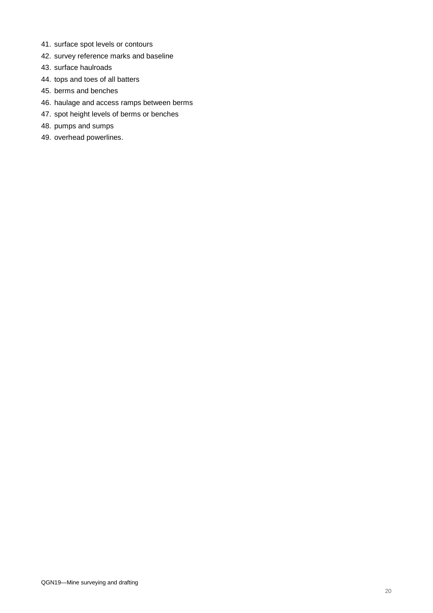- 41. surface spot levels or contours
- 42. survey reference marks and baseline
- 43. surface haulroads
- 44. tops and toes of all batters
- 45. berms and benches
- 46. haulage and access ramps between berms
- 47. spot height levels of berms or benches
- 48. pumps and sumps
- 49. overhead powerlines.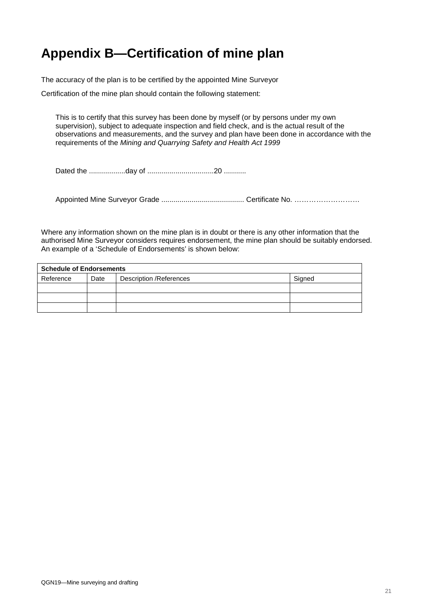## **Appendix B—Certification of mine plan**

The accuracy of the plan is to be certified by the appointed Mine Surveyor

Certification of the mine plan should contain the following statement:

This is to certify that this survey has been done by myself (or by persons under my own supervision), subject to adequate inspection and field check, and is the actual result of the observations and measurements, and the survey and plan have been done in accordance with the requirements of the *Mining and Quarrying Safety and Health Act 1999*

Dated the ..................day of .................................20 ...........

Appointed Mine Surveyor Grade ......................................... Certificate No. ………………………

Where any information shown on the mine plan is in doubt or there is any other information that the authorised Mine Surveyor considers requires endorsement, the mine plan should be suitably endorsed. An example of a 'Schedule of Endorsements' is shown below:

| <b>Schedule of Endorsements</b> |      |                          |        |  |  |  |  |
|---------------------------------|------|--------------------------|--------|--|--|--|--|
| Reference                       | Date | Description / References | Signed |  |  |  |  |
|                                 |      |                          |        |  |  |  |  |
|                                 |      |                          |        |  |  |  |  |
|                                 |      |                          |        |  |  |  |  |